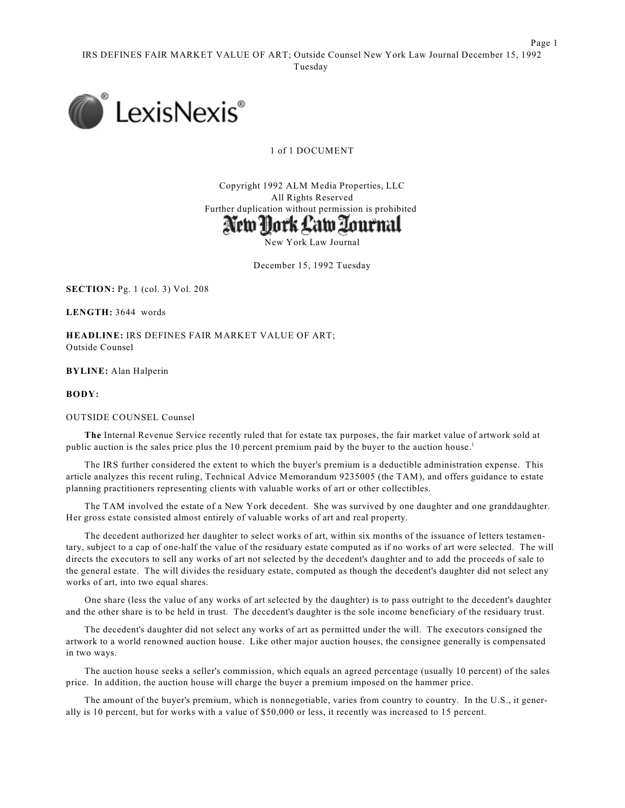Page 1



1 of 1 DOCUMENT

Copyright 1992 ALM Media Properties, LLC All Rights Reserved Further duplication without permission is prohibited



New York Law Journal

December 15, 1992 Tuesday

**SECTION:** Pg. 1 (col. 3) Vol. 208

**LENGTH:** 3644 words

**HEADLINE:** IRS DEFINES FAIR MARKET VALUE OF ART; Outside Counsel

**BYLINE:** Alan Halperin

**BODY:**

OUTSIDE COUNSEL Counsel

**The** Internal Revenue Service recently ruled that for estate tax purposes, the fair market value of artwork sold at public auction is the sales price plus the 10 percent premium paid by the buyer to the auction house. 1

The IRS further considered the extent to which the buyer's premium is a deductible administration expense. This article analyzes this recent ruling, Technical Advice Memorandum 9235005 (the TAM), and offers guidance to estate planning practitioners representing clients with valuable works of art or other collectibles.

The TAM involved the estate of a New York decedent. She was survived by one daughter and one granddaughter. Her gross estate consisted almost entirely of valuable works of art and real property.

The decedent authorized her daughter to select works of art, within six months of the issuance of letters testamentary, subject to a cap of one-half the value of the residuary estate computed as if no works of art were selected. The will directs the executors to sell any works of art not selected by the decedent's daughter and to add the proceeds of sale to the general estate. The will divides the residuary estate, computed as though the decedent's daughter did not select any works of art, into two equal shares.

One share (less the value of any works of art selected by the daughter) is to pass outright to the decedent's daughter and the other share is to be held in trust. The decedent's daughter is the sole income beneficiary of the residuary trust.

The decedent's daughter did not select any works of art as permitted under the will. The executors consigned the artwork to a world renowned auction house. Like other major auction houses, the consignee generally is compensated in two ways.

The auction house seeks a seller's commission, which equals an agreed percentage (usually 10 percent) of the sales price. In addition, the auction house will charge the buyer a premium imposed on the hammer price.

The amount of the buyer's premium, which is nonnegotiable, varies from country to country. In the U.S., it generally is 10 percent, but for works with a value of \$50,000 or less, it recently was increased to 15 percent.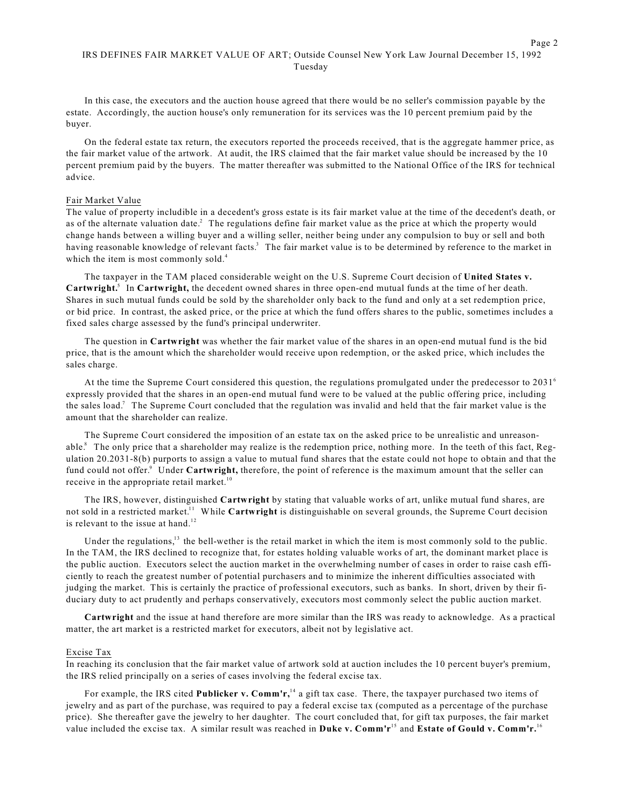In this case, the executors and the auction house agreed that there would be no seller's commission payable by the estate. Accordingly, the auction house's only remuneration for its services was the 10 percent premium paid by the buyer.

On the federal estate tax return, the executors reported the proceeds received, that is the aggregate hammer price, as the fair market value of the artwork. At audit, the IRS claimed that the fair market value should be increased by the 10 percent premium paid by the buyers. The matter thereafter was submitted to the National Office of the IRS for technical advice.

## Fair Market Value

The value of property includible in a decedent's gross estate is its fair market value at the time of the decedent's death, or as of the alternate valuation date.<sup>2</sup> The regulations define fair market value as the price at which the property would change hands between a willing buyer and a willing seller, neither being under any compulsion to buy or sell and both having reasonable knowledge of relevant facts.<sup>3</sup> The fair market value is to be determined by reference to the market in which the item is most commonly sold.<sup>4</sup>

The taxpayer in the TAM placed considerable weight on the U.S. Supreme Court decision of **United States v.** Cartwright.<sup>5</sup> In Cartwright, the decedent owned shares in three open-end mutual funds at the time of her death. Shares in such mutual funds could be sold by the shareholder only back to the fund and only at a set redemption price, or bid price. In contrast, the asked price, or the price at which the fund offers shares to the public, sometimes includes a fixed sales charge assessed by the fund's principal underwriter.

The question in **Cartwright** was whether the fair market value of the shares in an open-end mutual fund is the bid price, that is the amount which the shareholder would receive upon redemption, or the asked price, which includes the sales charge.

At the time the Supreme Court considered this question, the regulations promulgated under the predecessor to 2031 6 expressly provided that the shares in an open-end mutual fund were to be valued at the public offering price, including the sales load.<sup>7</sup> The Supreme Court concluded that the regulation was invalid and held that the fair market value is the amount that the shareholder can realize.

The Supreme Court considered the imposition of an estate tax on the asked price to be unrealistic and unreasonable.<sup>8</sup> The only price that a shareholder may realize is the redemption price, nothing more. In the teeth of this fact, Regulation 20.2031-8(b) purports to assign a value to mutual fund shares that the estate could not hope to obtain and that the fund could not offer.<sup>9</sup> Under Cartwright, therefore, the point of reference is the maximum amount that the seller can receive in the appropriate retail market.<sup>10</sup>

The IRS, however, distinguished **Cartwright** by stating that valuable works of art, unlike mutual fund shares, are not sold in a restricted market.<sup>11</sup> While **Cartwright** is distinguishable on several grounds, the Supreme Court decision is relevant to the issue at hand.<sup>12</sup>

Under the regulations, $13$  the bell-wether is the retail market in which the item is most commonly sold to the public. In the TAM, the IRS declined to recognize that, for estates holding valuable works of art, the dominant market place is the public auction. Executors select the auction market in the overwhelming number of cases in order to raise cash efficiently to reach the greatest number of potential purchasers and to minimize the inherent difficulties associated with judging the market. This is certainly the practice of professional executors, such as banks. In short, driven by their fiduciary duty to act prudently and perhaps conservatively, executors most commonly select the public auction market.

**Cartwright** and the issue at hand therefore are more similar than the IRS was ready to acknowledge. As a practical matter, the art market is a restricted market for executors, albeit not by legislative act.

### Excise Tax

In reaching its conclusion that the fair market value of artwork sold at auction includes the 10 percent buyer's premium, the IRS relied principally on a series of cases involving the federal excise tax.

For example, the IRS cited Publicker v. Comm'r,<sup>14</sup> a gift tax case. There, the taxpayer purchased two items of jewelry and as part of the purchase, was required to pay a federal excise tax (computed as a percentage of the purchase price). She thereafter gave the jewelry to her daughter. The court concluded that, for gift tax purposes, the fair market value included the excise tax. A similar result was reached in **Duke v. Comm'r**<sup>15</sup> and **Estate of Gould v. Comm'r.**<sup>16</sup>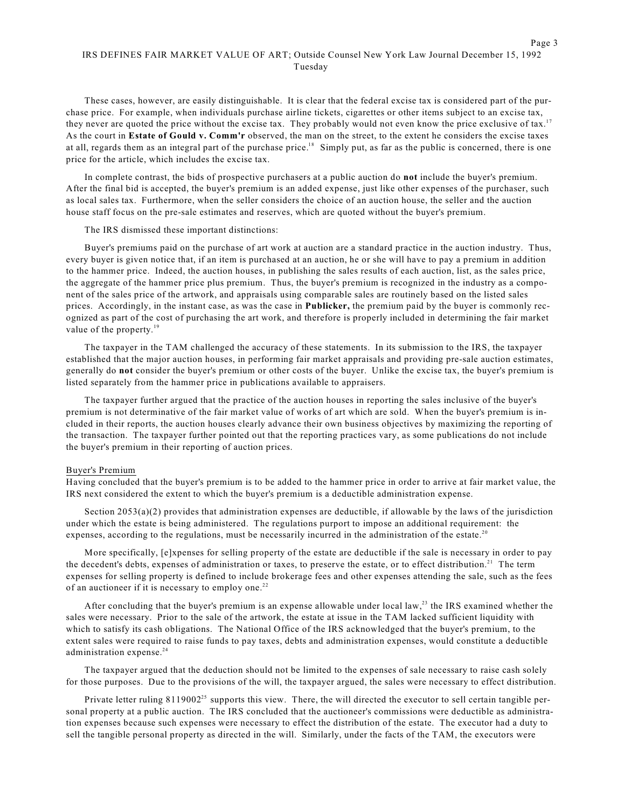# IRS DEFINES FAIR MARKET VALUE OF ART; Outside Counsel New York Law Journal December 15, 1992 Tuesday

These cases, however, are easily distinguishable. It is clear that the federal excise tax is considered part of the purchase price. For example, when individuals purchase airline tickets, cigarettes or other items subject to an excise tax, they never are quoted the price without the excise tax. They probably would not even know the price exclusive of tax.<sup>17</sup> As the court in **Estate of Gould v. Comm'r** observed, the man on the street, to the extent he considers the excise taxes at all, regards them as an integral part of the purchase price.<sup>18</sup> Simply put, as far as the public is concerned, there is one price for the article, which includes the excise tax.

In complete contrast, the bids of prospective purchasers at a public auction do **not** include the buyer's premium. After the final bid is accepted, the buyer's premium is an added expense, just like other expenses of the purchaser, such as local sales tax. Furthermore, when the seller considers the choice of an auction house, the seller and the auction house staff focus on the pre-sale estimates and reserves, which are quoted without the buyer's premium.

The IRS dismissed these important distinctions:

Buyer's premiums paid on the purchase of art work at auction are a standard practice in the auction industry. Thus, every buyer is given notice that, if an item is purchased at an auction, he or she will have to pay a premium in addition to the hammer price. Indeed, the auction houses, in publishing the sales results of each auction, list, as the sales price, the aggregate of the hammer price plus premium. Thus, the buyer's premium is recognized in the industry as a component of the sales price of the artwork, and appraisals using comparable sales are routinely based on the listed sales prices. Accordingly, in the instant case, as was the case in **Publicker,** the premium paid by the buyer is commonly recognized as part of the cost of purchasing the art work, and therefore is properly included in determining the fair market value of the property.<sup>19</sup>

The taxpayer in the TAM challenged the accuracy of these statements. In its submission to the IRS, the taxpayer established that the major auction houses, in performing fair market appraisals and providing pre-sale auction estimates, generally do **not** consider the buyer's premium or other costs of the buyer. Unlike the excise tax, the buyer's premium is listed separately from the hammer price in publications available to appraisers.

The taxpayer further argued that the practice of the auction houses in reporting the sales inclusive of the buyer's premium is not determinative of the fair market value of works of art which are sold. When the buyer's premium is included in their reports, the auction houses clearly advance their own business objectives by maximizing the reporting of the transaction. The taxpayer further pointed out that the reporting practices vary, as some publications do not include the buyer's premium in their reporting of auction prices.

#### Buyer's Premium

Having concluded that the buyer's premium is to be added to the hammer price in order to arrive at fair market value, the IRS next considered the extent to which the buyer's premium is a deductible administration expense.

Section 2053(a)(2) provides that administration expenses are deductible, if allowable by the laws of the jurisdiction under which the estate is being administered. The regulations purport to impose an additional requirement: the expenses, according to the regulations, must be necessarily incurred in the administration of the estate.<sup>20</sup>

More specifically, [e]xpenses for selling property of the estate are deductible if the sale is necessary in order to pay the decedent's debts, expenses of administration or taxes, to preserve the estate, or to effect distribution.<sup>21</sup> The term expenses for selling property is defined to include brokerage fees and other expenses attending the sale, such as the fees of an auctioneer if it is necessary to employ one.<sup>22</sup>

After concluding that the buyer's premium is an expense allowable under local law, $^{23}$  the IRS examined whether the sales were necessary. Prior to the sale of the artwork, the estate at issue in the TAM lacked sufficient liquidity with which to satisfy its cash obligations. The National Office of the IRS acknowledged that the buyer's premium, to the extent sales were required to raise funds to pay taxes, debts and administration expenses, would constitute a deductible administration expense. 24

The taxpayer argued that the deduction should not be limited to the expenses of sale necessary to raise cash solely for those purposes. Due to the provisions of the will, the taxpayer argued, the sales were necessary to effect distribution.

Private letter ruling  $8119002^{25}$  supports this view. There, the will directed the executor to sell certain tangible personal property at a public auction. The IRS concluded that the auctioneer's commissions were deductible as administration expenses because such expenses were necessary to effect the distribution of the estate. The executor had a duty to sell the tangible personal property as directed in the will. Similarly, under the facts of the TAM, the executors were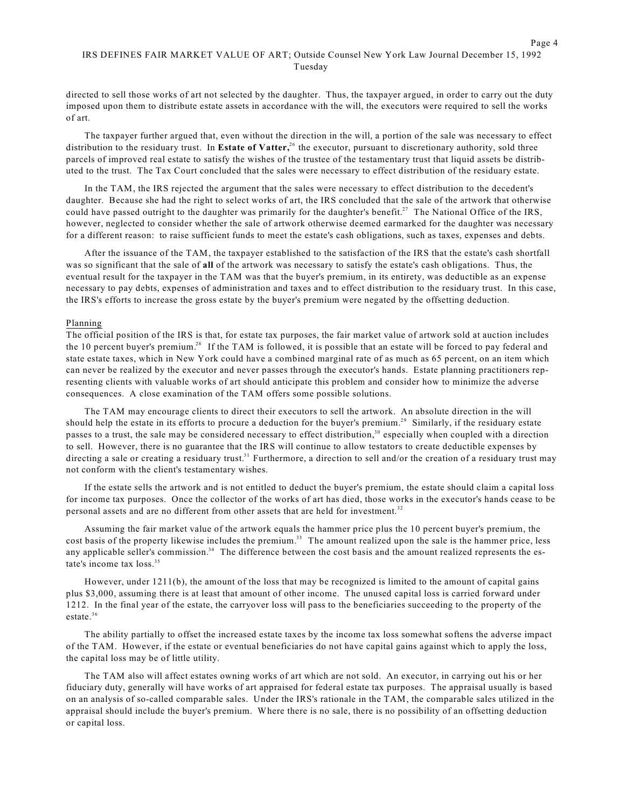# IRS DEFINES FAIR MARKET VALUE OF ART; Outside Counsel New York Law Journal December 15, 1992 Tuesday

directed to sell those works of art not selected by the daughter. Thus, the taxpayer argued, in order to carry out the duty imposed upon them to distribute estate assets in accordance with the will, the executors were required to sell the works of art.

The taxpayer further argued that, even without the direction in the will, a portion of the sale was necessary to effect distribution to the residuary trust. In Estate of Vatter,<sup>26</sup> the executor, pursuant to discretionary authority, sold three parcels of improved real estate to satisfy the wishes of the trustee of the testamentary trust that liquid assets be distributed to the trust. The Tax Court concluded that the sales were necessary to effect distribution of the residuary estate.

In the TAM, the IRS rejected the argument that the sales were necessary to effect distribution to the decedent's daughter. Because she had the right to select works of art, the IRS concluded that the sale of the artwork that otherwise could have passed outright to the daughter was primarily for the daughter's benefit.<sup>27</sup> The National Office of the IRS, however, neglected to consider whether the sale of artwork otherwise deemed earmarked for the daughter was necessary for a different reason: to raise sufficient funds to meet the estate's cash obligations, such as taxes, expenses and debts.

After the issuance of the TAM, the taxpayer established to the satisfaction of the IRS that the estate's cash shortfall was so significant that the sale of **all** of the artwork was necessary to satisfy the estate's cash obligations. Thus, the eventual result for the taxpayer in the TAM was that the buyer's premium, in its entirety, was deductible as an expense necessary to pay debts, expenses of administration and taxes and to effect distribution to the residuary trust. In this case, the IRS's efforts to increase the gross estate by the buyer's premium were negated by the offsetting deduction.

### Planning

The official position of the IRS is that, for estate tax purposes, the fair market value of artwork sold at auction includes the 10 percent buyer's premium.<sup>28</sup> If the TAM is followed, it is possible that an estate will be forced to pay federal and state estate taxes, which in New York could have a combined marginal rate of as much as 65 percent, on an item which can never be realized by the executor and never passes through the executor's hands. Estate planning practitioners representing clients with valuable works of art should anticipate this problem and consider how to minimize the adverse consequences. A close examination of the TAM offers some possible solutions.

The TAM may encourage clients to direct their executors to sell the artwork. An absolute direction in the will should help the estate in its efforts to procure a deduction for the buyer's premium.<sup>29</sup> Similarly, if the residuary estate passes to a trust, the sale may be considered necessary to effect distribution,<sup>30</sup> especially when coupled with a direction to sell. However, there is no guarantee that the IRS will continue to allow testators to create deductible expenses by directing a sale or creating a residuary trust.<sup>31</sup> Furthermore, a direction to sell and/or the creation of a residuary trust may not conform with the client's testamentary wishes.

If the estate sells the artwork and is not entitled to deduct the buyer's premium, the estate should claim a capital loss for income tax purposes. Once the collector of the works of art has died, those works in the executor's hands cease to be personal assets and are no different from other assets that are held for investment.<sup>32</sup>

Assuming the fair market value of the artwork equals the hammer price plus the 10 percent buyer's premium, the cost basis of the property likewise includes the premium.<sup>33</sup> The amount realized upon the sale is the hammer price, less any applicable seller's commission. $34$  The difference between the cost basis and the amount realized represents the estate's income tax loss. 35

However, under 1211(b), the amount of the loss that may be recognized is limited to the amount of capital gains plus \$3,000, assuming there is at least that amount of other income. The unused capital loss is carried forward under 1212. In the final year of the estate, the carryover loss will pass to the beneficiaries succeeding to the property of the estate. 36

The ability partially to offset the increased estate taxes by the income tax loss somewhat softens the adverse impact of the TAM. However, if the estate or eventual beneficiaries do not have capital gains against which to apply the loss, the capital loss may be of little utility.

The TAM also will affect estates owning works of art which are not sold. An executor, in carrying out his or her fiduciary duty, generally will have works of art appraised for federal estate tax purposes. The appraisal usually is based on an analysis of so-called comparable sales. Under the IRS's rationale in the TAM, the comparable sales utilized in the appraisal should include the buyer's premium. Where there is no sale, there is no possibility of an offsetting deduction or capital loss.

Page 4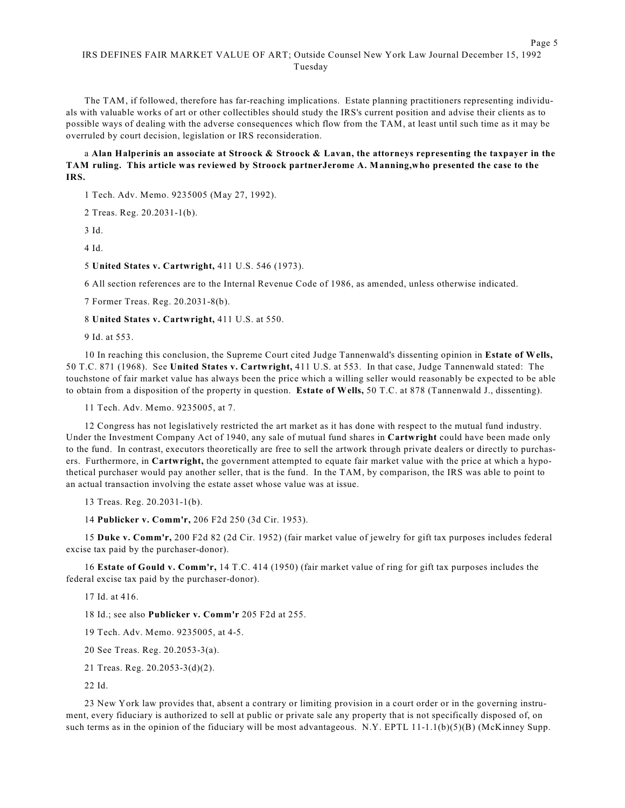The TAM, if followed, therefore has far-reaching implications. Estate planning practitioners representing individuals with valuable works of art or other collectibles should study the IRS's current position and advise their clients as to possible ways of dealing with the adverse consequences which flow from the TAM, at least until such time as it may be overruled by court decision, legislation or IRS reconsideration.

# a Alan Halperinis an associate at Stroock & Stroock & Lavan, the attorneys representing the taxpayer in the **TAM ruling. This article was reviewed by Stroock partnerJerome A. Manning,who presented the case to the IRS.**

1 Tech. Adv. Memo. 9235005 (May 27, 1992).

2 Treas. Reg. 20.2031-1(b).

3 Id.

4 Id.

5 **United States v. Cartwright,** 411 U.S. 546 (1973).

6 All section references are to the Internal Revenue Code of 1986, as amended, unless otherwise indicated.

7 Former Treas. Reg. 20.2031-8(b).

8 **United States v. Cartwright,** 411 U.S. at 550.

9 Id. at 553.

10 In reaching this conclusion, the Supreme Court cited Judge Tannenwald's dissenting opinion in **Estate of Wells,** 50 T.C. 871 (1968). See **United States v. Cartwright,** 411 U.S. at 553. In that case, Judge Tannenwald stated: The touchstone of fair market value has always been the price which a willing seller would reasonably be expected to be able to obtain from a disposition of the property in question. **Estate of Wells,** 50 T.C. at 878 (Tannenwald J., dissenting).

11 Tech. Adv. Memo. 9235005, at 7.

12 Congress has not legislatively restricted the art market as it has done with respect to the mutual fund industry. Under the Investment Company Act of 1940, any sale of mutual fund shares in **Cartwright** could have been made only to the fund. In contrast, executors theoretically are free to sell the artwork through private dealers or directly to purchasers. Furthermore, in **Cartwright,** the government attempted to equate fair market value with the price at which a hypothetical purchaser would pay another seller, that is the fund. In the TAM, by comparison, the IRS was able to point to an actual transaction involving the estate asset whose value was at issue.

13 Treas. Reg. 20.2031-1(b).

14 **Publicker v. Comm'r,** 206 F2d 250 (3d Cir. 1953).

15 **Duke v. Comm'r,** 200 F2d 82 (2d Cir. 1952) (fair market value of jewelry for gift tax purposes includes federal excise tax paid by the purchaser-donor).

16 **Estate of Gould v. Comm'r,** 14 T.C. 414 (1950) (fair market value of ring for gift tax purposes includes the federal excise tax paid by the purchaser-donor).

17 Id. at 416.

18 Id.; see also **Publicker v. Comm'r** 205 F2d at 255.

19 Tech. Adv. Memo. 9235005, at 4-5.

20 See Treas. Reg. 20.2053-3(a).

21 Treas. Reg. 20.2053-3(d)(2).

22 Id.

23 New York law provides that, absent a contrary or limiting provision in a court order or in the governing instrument, every fiduciary is authorized to sell at public or private sale any property that is not specifically disposed of, on such terms as in the opinion of the fiduciary will be most advantageous. N.Y. EPTL 11-1.1(b)(5)(B) (McKinney Supp.